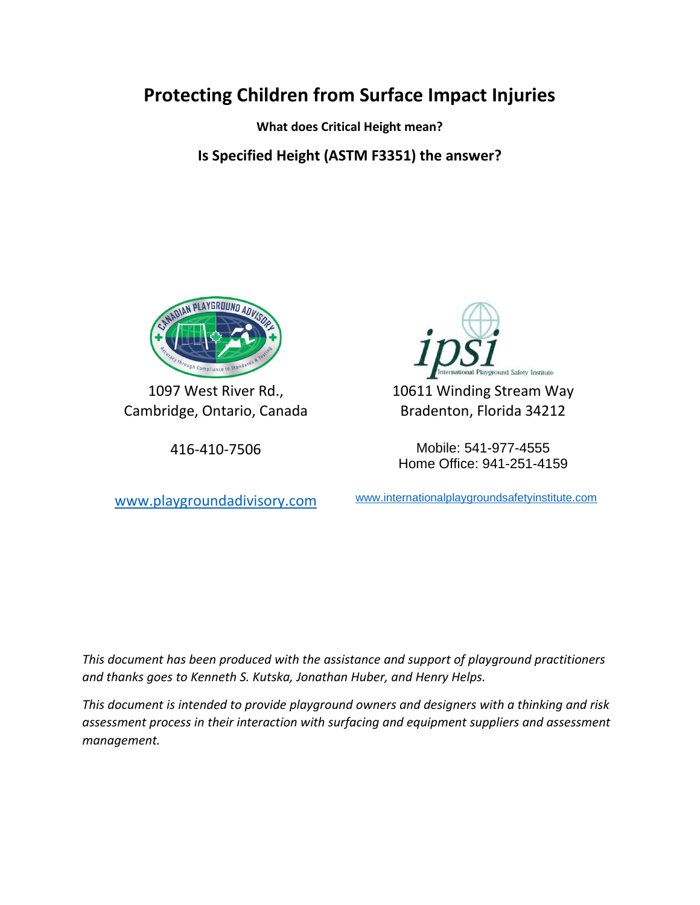## **Protecting Children from Surface Impact Injuries**

**What does Critical Height mean?**

**Is Specified Height (ASTM F3351) the answer?**



1097 West River Rd., Cambridge, Ontario, Canada



10611 Winding Stream Way Bradenton, Florida 34212

416-410-7506 Mobile: 541-977-4555 Home Office: 941-251-4159

[www.playgroundadivisory.com](http://www.playgroundadivisory.com/) [www.internationalplaygroundsafetyinstitute.com](http://www.internationalplaygroundsafetyinstitute.com/)

*This document has been produced with the assistance and support of playground practitioners and thanks goes to Kenneth S. Kutska, Jonathan Huber, and Henry Helps.*

*This document is intended to provide playground owners and designers with a thinking and risk assessment process in their interaction with surfacing and equipment suppliers and assessment management.*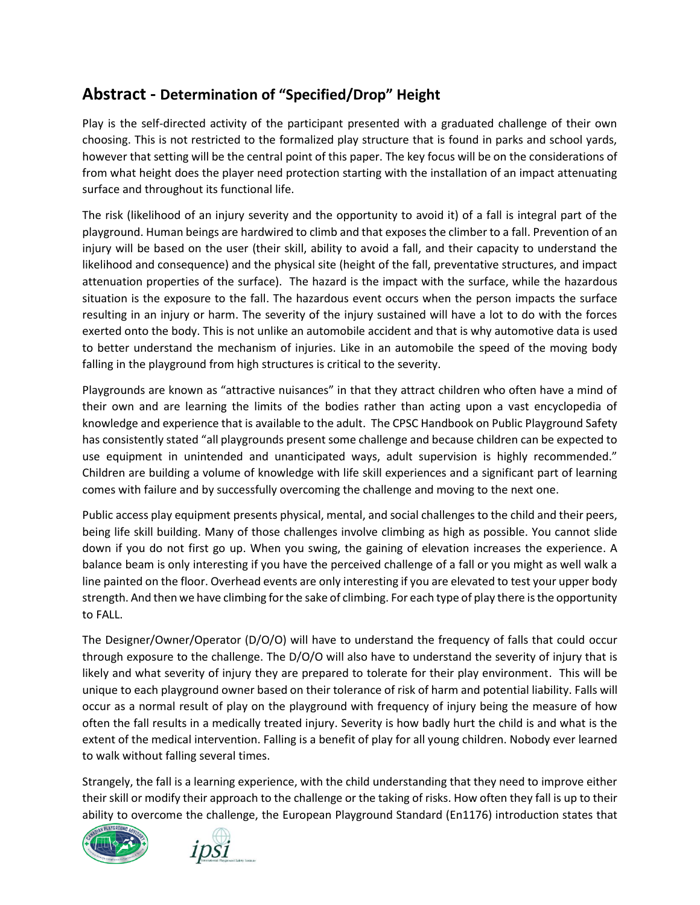## **Abstract - Determination of "Specified/Drop" Height**

Play is the self-directed activity of the participant presented with a graduated challenge of their own choosing. This is not restricted to the formalized play structure that is found in parks and school yards, however that setting will be the central point of this paper. The key focus will be on the considerations of from what height does the player need protection starting with the installation of an impact attenuating surface and throughout its functional life.

The risk (likelihood of an injury severity and the opportunity to avoid it) of a fall is integral part of the playground. Human beings are hardwired to climb and that exposes the climber to a fall. Prevention of an injury will be based on the user (their skill, ability to avoid a fall, and their capacity to understand the likelihood and consequence) and the physical site (height of the fall, preventative structures, and impact attenuation properties of the surface). The hazard is the impact with the surface, while the hazardous situation is the exposure to the fall. The hazardous event occurs when the person impacts the surface resulting in an injury or harm. The severity of the injury sustained will have a lot to do with the forces exerted onto the body. This is not unlike an automobile accident and that is why automotive data is used to better understand the mechanism of injuries. Like in an automobile the speed of the moving body falling in the playground from high structures is critical to the severity.

Playgrounds are known as "attractive nuisances" in that they attract children who often have a mind of their own and are learning the limits of the bodies rather than acting upon a vast encyclopedia of knowledge and experience that is available to the adult. The CPSC Handbook on Public Playground Safety has consistently stated "all playgrounds present some challenge and because children can be expected to use equipment in unintended and unanticipated ways, adult supervision is highly recommended." Children are building a volume of knowledge with life skill experiences and a significant part of learning comes with failure and by successfully overcoming the challenge and moving to the next one.

Public access play equipment presents physical, mental, and social challenges to the child and their peers, being life skill building. Many of those challenges involve climbing as high as possible. You cannot slide down if you do not first go up. When you swing, the gaining of elevation increases the experience. A balance beam is only interesting if you have the perceived challenge of a fall or you might as well walk a line painted on the floor. Overhead events are only interesting if you are elevated to test your upper body strength. And then we have climbing for the sake of climbing. For each type of play there is the opportunity to FALL.

The Designer/Owner/Operator (D/O/O) will have to understand the frequency of falls that could occur through exposure to the challenge. The D/O/O will also have to understand the severity of injury that is likely and what severity of injury they are prepared to tolerate for their play environment. This will be unique to each playground owner based on their tolerance of risk of harm and potential liability. Falls will occur as a normal result of play on the playground with frequency of injury being the measure of how often the fall results in a medically treated injury. Severity is how badly hurt the child is and what is the extent of the medical intervention. Falling is a benefit of play for all young children. Nobody ever learned to walk without falling several times.

Strangely, the fall is a learning experience, with the child understanding that they need to improve either their skill or modify their approach to the challenge or the taking of risks. How often they fall is up to their ability to overcome the challenge, the European Playground Standard (En1176) introduction states that



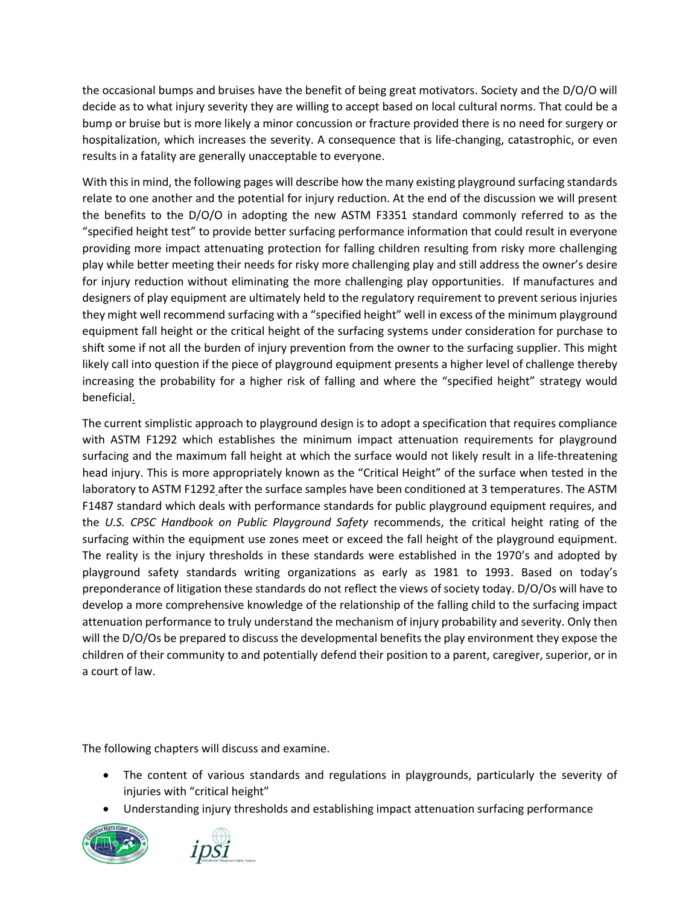the occasional bumps and bruises have the benefit of being great motivators. Society and the D/O/O will decide as to what injury severity they are willing to accept based on local cultural norms. That could be a bump or bruise but is more likely a minor concussion or fracture provided there is no need for surgery or hospitalization, which increases the severity. A consequence that is life-changing, catastrophic, or even results in a fatality are generally unacceptable to everyone.

With this in mind, the following pages will describe how the many existing playground surfacing standards relate to one another and the potential for injury reduction. At the end of the discussion we will present the benefits to the D/O/O in adopting the new ASTM F3351 standard commonly referred to as the "specified height test" to provide better surfacing performance information that could result in everyone providing more impact attenuating protection for falling children resulting from risky more challenging play while better meeting their needs for risky more challenging play and still address the owner's desire for injury reduction without eliminating the more challenging play opportunities. If manufactures and designers of play equipment are ultimately held to the regulatory requirement to prevent serious injuries they might well recommend surfacing with a "specified height" well in excess of the minimum playground equipment fall height or the critical height of the surfacing systems under consideration for purchase to shift some if not all the burden of injury prevention from the owner to the surfacing supplier. This might likely call into question if the piece of playground equipment presents a higher level of challenge thereby increasing the probability for a higher risk of falling and where the "specified height" strategy would beneficial.

The current simplistic approach to playground design is to adopt a specification that requires compliance with ASTM F1292 which establishes the minimum impact attenuation requirements for playground surfacing and the maximum fall height at which the surface would not likely result in a life-threatening head injury. This is more appropriately known as the "Critical Height" of the surface when tested in the laboratory to ASTM F1292 after the surface samples have been conditioned at 3 temperatures. The ASTM F1487 standard which deals with performance standards for public playground equipment requires, and the *U.S. CPSC Handbook on Public Playground Safety* recommends, the critical height rating of the surfacing within the equipment use zones meet or exceed the fall height of the playground equipment. The reality is the injury thresholds in these standards were established in the 1970's and adopted by playground safety standards writing organizations as early as 1981 to 1993. Based on today's preponderance of litigation these standards do not reflect the views of society today. D/O/Os will have to develop a more comprehensive knowledge of the relationship of the falling child to the surfacing impact attenuation performance to truly understand the mechanism of injury probability and severity. Only then will the D/O/Os be prepared to discuss the developmental benefits the play environment they expose the children of their community to and potentially defend their position to a parent, caregiver, superior, or in a court of law.

The following chapters will discuss and examine.

- The content of various standards and regulations in playgrounds, particularly the severity of injuries with "critical height"
- Understanding injury thresholds and establishing impact attenuation surfacing performance